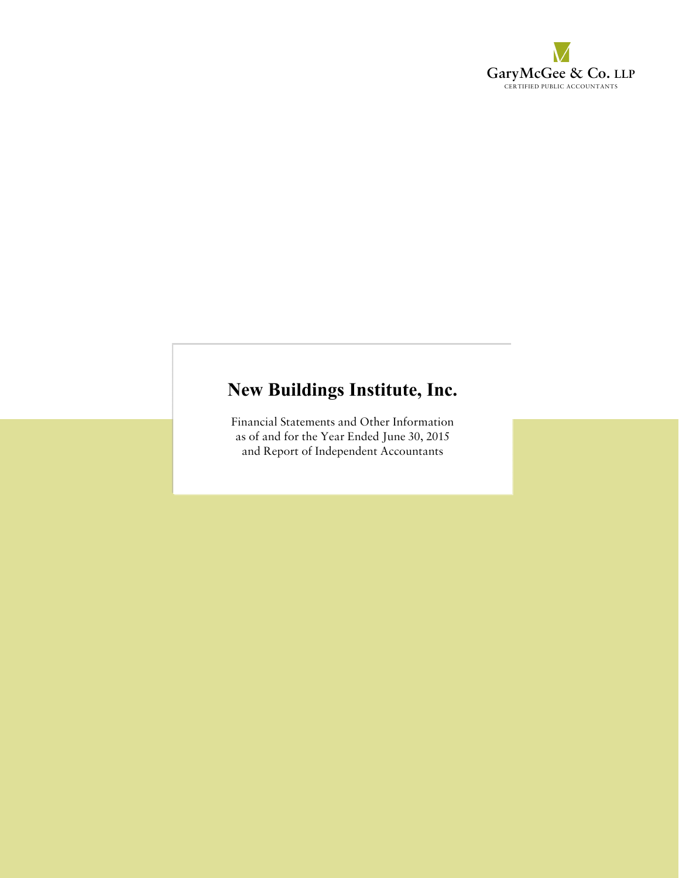

# **New Buildings Institute, Inc.**

Financial Statements and Other Information as of and for the Year Ended June 30, 2015 and Report of Independent Accountants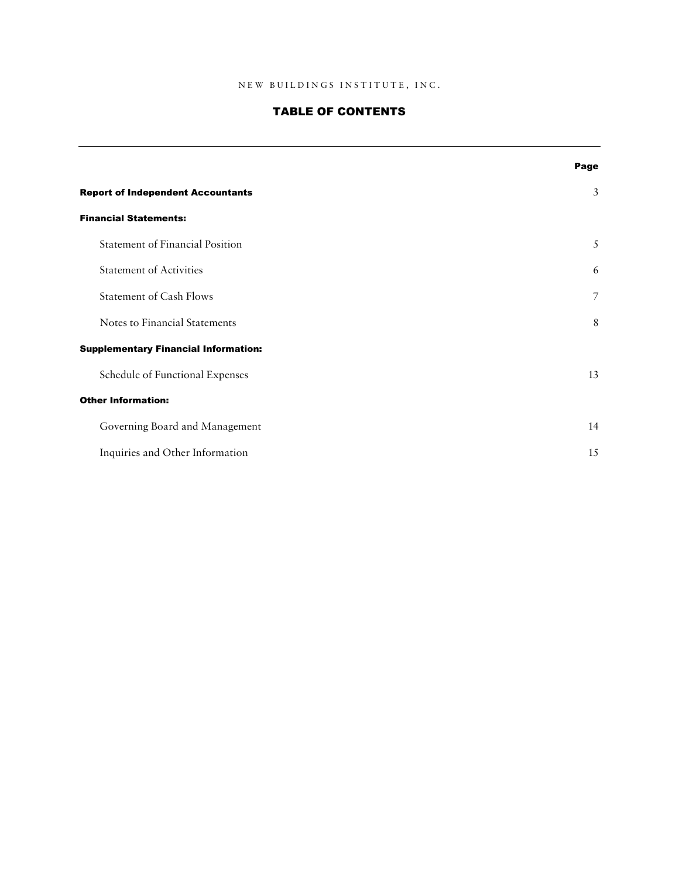# TABLE OF CONTENTS

|                                             | Page           |
|---------------------------------------------|----------------|
| <b>Report of Independent Accountants</b>    | $\mathfrak{Z}$ |
| <b>Financial Statements:</b>                |                |
| <b>Statement of Financial Position</b>      | 5              |
| <b>Statement of Activities</b>              | 6              |
| <b>Statement of Cash Flows</b>              | 7              |
| Notes to Financial Statements               | 8              |
| <b>Supplementary Financial Information:</b> |                |
| Schedule of Functional Expenses             | 13             |
| <b>Other Information:</b>                   |                |
| Governing Board and Management              | 14             |
| Inquiries and Other Information             | 15             |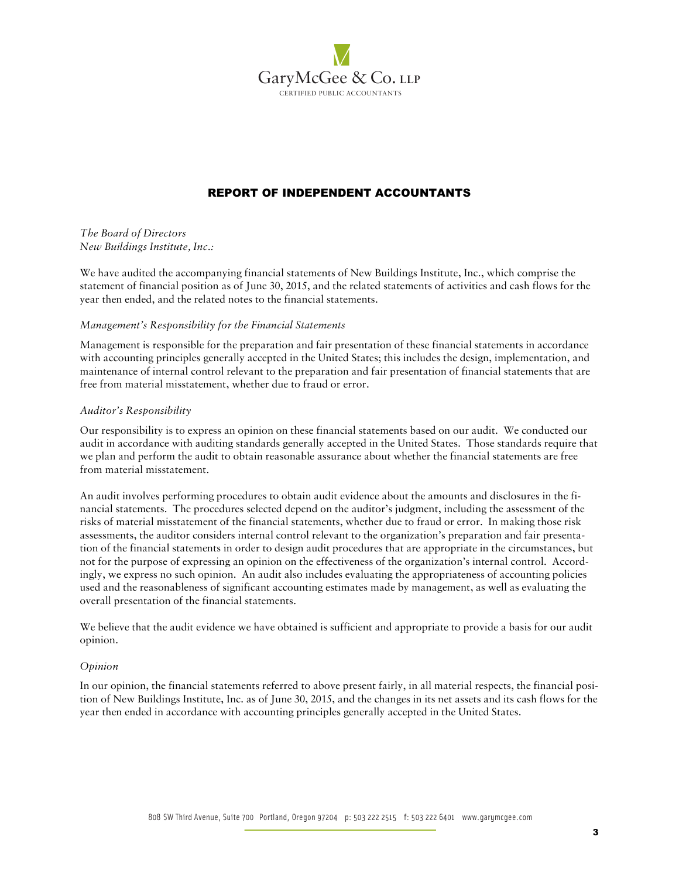

# REPORT OF INDEPENDENT ACCOUNTANTS

*The Board of Directors New Buildings Institute, Inc.:*

We have audited the accompanying financial statements of New Buildings Institute, Inc., which comprise the statement of financial position as of June 30, 2015, and the related statements of activities and cash flows for the year then ended, and the related notes to the financial statements.

#### *Management's Responsibility for the Financial Statements*

Management is responsible for the preparation and fair presentation of these financial statements in accordance with accounting principles generally accepted in the United States; this includes the design, implementation, and maintenance of internal control relevant to the preparation and fair presentation of financial statements that are free from material misstatement, whether due to fraud or error.

#### *Auditor's Responsibility*

Our responsibility is to express an opinion on these financial statements based on our audit. We conducted our audit in accordance with auditing standards generally accepted in the United States. Those standards require that we plan and perform the audit to obtain reasonable assurance about whether the financial statements are free from material misstatement.

An audit involves performing procedures to obtain audit evidence about the amounts and disclosures in the financial statements. The procedures selected depend on the auditor's judgment, including the assessment of the risks of material misstatement of the financial statements, whether due to fraud or error. In making those risk assessments, the auditor considers internal control relevant to the organization's preparation and fair presentation of the financial statements in order to design audit procedures that are appropriate in the circumstances, but not for the purpose of expressing an opinion on the effectiveness of the organization's internal control. Accordingly, we express no such opinion. An audit also includes evaluating the appropriateness of accounting policies used and the reasonableness of significant accounting estimates made by management, as well as evaluating the overall presentation of the financial statements.

We believe that the audit evidence we have obtained is sufficient and appropriate to provide a basis for our audit opinion.

#### *Opinion*

In our opinion, the financial statements referred to above present fairly, in all material respects, the financial position of New Buildings Institute, Inc. as of June 30, 2015, and the changes in its net assets and its cash flows for the year then ended in accordance with accounting principles generally accepted in the United States.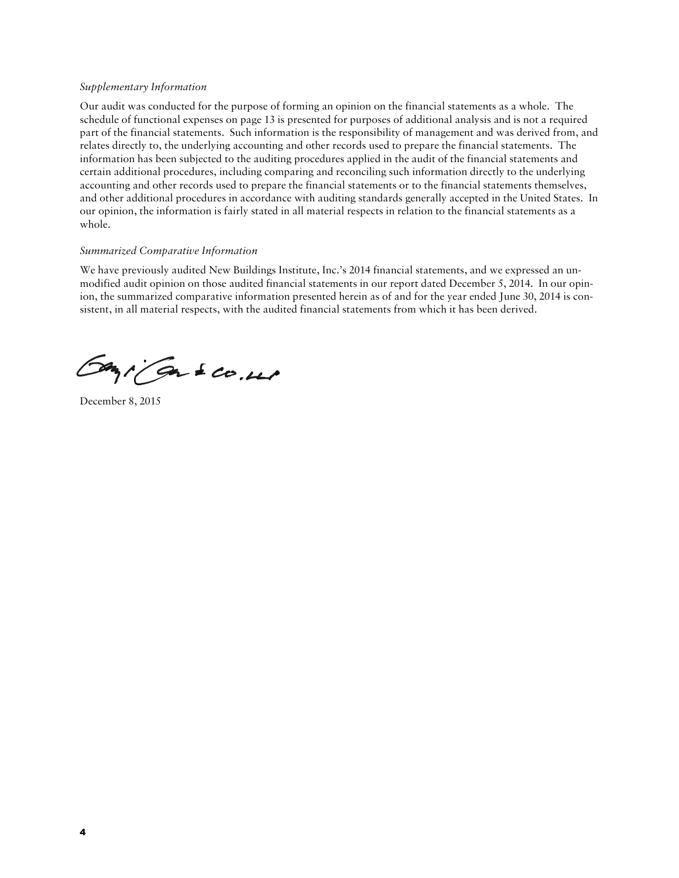#### *Supplementary Information*

Our audit was conducted for the purpose of forming an opinion on the financial statements as a whole. The schedule of functional expenses on page 13 is presented for purposes of additional analysis and is not a required part of the financial statements. Such information is the responsibility of management and was derived from, and relates directly to, the underlying accounting and other records used to prepare the financial statements. The information has been subjected to the auditing procedures applied in the audit of the financial statements and certain additional procedures, including comparing and reconciling such information directly to the underlying accounting and other records used to prepare the financial statements or to the financial statements themselves, and other additional procedures in accordance with auditing standards generally accepted in the United States. In our opinion, the information is fairly stated in all material respects in relation to the financial statements as a whole.

#### *Summarized Comparative Information*

We have previously audited New Buildings Institute, Inc.'s 2014 financial statements, and we expressed an unmodified audit opinion on those audited financial statements in our report dated December 5, 2014. In our opinion, the summarized comparative information presented herein as of and for the year ended June 30, 2014 is consistent, in all material respects, with the audited financial statements from which it has been derived.

Gazi Gas 200.000

December 8, 2015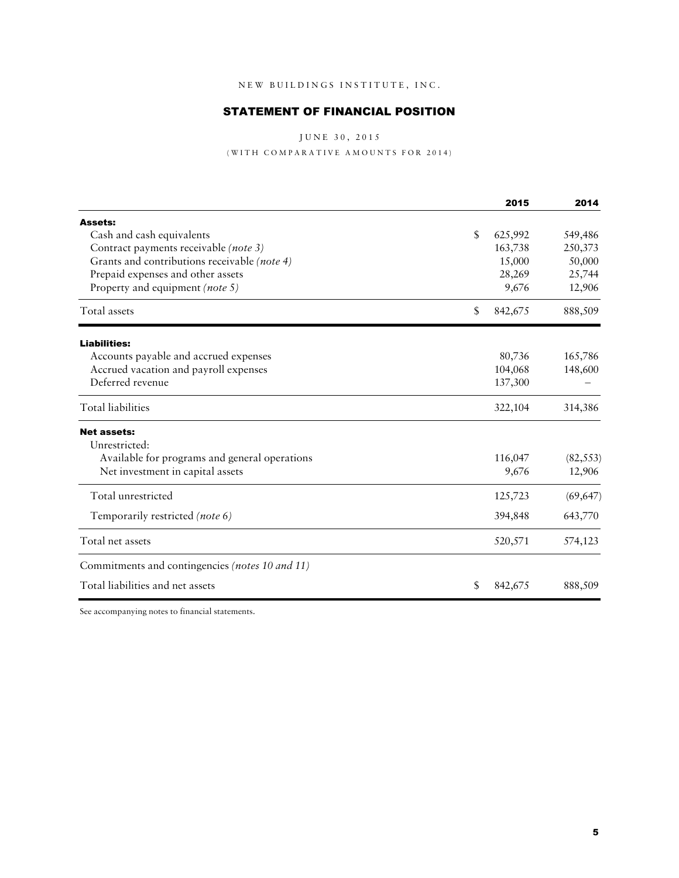# STATEMENT OF FINANCIAL POSITION

J U N E 30, 2015

 $(\,\mathop{\mathtt{WITH}}\, \mathop{\mathtt{COMPARATIVE}}\, \mathop{\mathtt{AMOUNTS}}\, \mathop{\mathtt{FOR}}\, \mathop{\mathtt{2014}}\,)$ 

|                                                 |    | 2015    | 2014      |
|-------------------------------------------------|----|---------|-----------|
| Assets:                                         |    |         |           |
| Cash and cash equivalents                       | \$ | 625,992 | 549,486   |
| Contract payments receivable (note 3)           |    | 163,738 | 250,373   |
| Grants and contributions receivable (note 4)    |    | 15,000  | 50,000    |
| Prepaid expenses and other assets               |    | 28,269  | 25,744    |
| Property and equipment (note 5)                 |    | 9,676   | 12,906    |
| Total assets                                    | \$ | 842,675 | 888,509   |
| <b>Liabilities:</b>                             |    |         |           |
| Accounts payable and accrued expenses           |    | 80,736  | 165,786   |
| Accrued vacation and payroll expenses           |    | 104,068 | 148,600   |
| Deferred revenue                                |    | 137,300 |           |
| <b>Total liabilities</b>                        |    | 322,104 | 314,386   |
| <b>Net assets:</b>                              |    |         |           |
| Unrestricted:                                   |    |         |           |
| Available for programs and general operations   |    | 116,047 | (82, 553) |
| Net investment in capital assets                |    | 9,676   | 12,906    |
| Total unrestricted                              |    | 125,723 | (69, 647) |
| Temporarily restricted (note 6)                 |    | 394,848 | 643,770   |
| Total net assets                                |    | 520,571 | 574,123   |
| Commitments and contingencies (notes 10 and 11) |    |         |           |
| Total liabilities and net assets                | S  | 842,675 | 888,509   |

See accompanying notes to financial statements.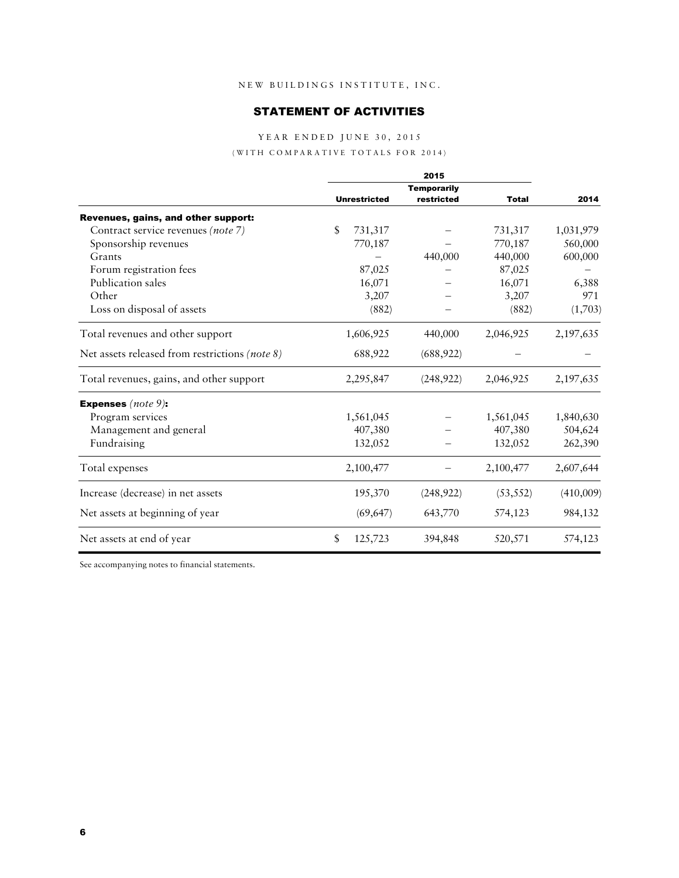## STATEMENT OF ACTIVITIES

## YEAR ENDED JUNE 30, 2015

#### $(\,\mathop{\mathtt{WITH}}\, \mathop{\mathtt{COMPARATIVE}}\, \mathop{\mathtt{TOTALS}}\, \mathop{\mathtt{FOR}}\, \mathop{\mathtt{2014}}\,)$

|                                                | 2015 |                     |                    |              |           |
|------------------------------------------------|------|---------------------|--------------------|--------------|-----------|
|                                                |      |                     | <b>Temporarily</b> |              |           |
|                                                |      | <b>Unrestricted</b> | restricted         | <b>Total</b> | 2014      |
| Revenues, gains, and other support:            |      |                     |                    |              |           |
| Contract service revenues (note 7)             | \$   | 731,317             |                    | 731,317      | 1,031,979 |
| Sponsorship revenues                           |      | 770,187             |                    | 770,187      | 560,000   |
| Grants                                         |      |                     | 440,000            | 440,000      | 600,000   |
| Forum registration fees                        |      | 87,025              |                    | 87,025       |           |
| Publication sales                              |      | 16,071              |                    | 16,071       | 6,388     |
| Other                                          |      | 3,207               |                    | 3,207        | 971       |
| Loss on disposal of assets                     |      | (882)               |                    | (882)        | (1,703)   |
| Total revenues and other support               |      | 1,606,925           | 440,000            | 2,046,925    | 2,197,635 |
| Net assets released from restrictions (note 8) |      | 688,922             | (688, 922)         |              |           |
| Total revenues, gains, and other support       |      | 2,295,847           | (248, 922)         | 2,046,925    | 2,197,635 |
| <b>Expenses</b> (note $9$ ):                   |      |                     |                    |              |           |
| Program services                               |      | 1,561,045           |                    | 1,561,045    | 1,840,630 |
| Management and general                         |      | 407,380             |                    | 407,380      | 504,624   |
| Fundraising                                    |      | 132,052             |                    | 132,052      | 262,390   |
| Total expenses                                 |      | 2,100,477           |                    | 2,100,477    | 2,607,644 |
| Increase (decrease) in net assets              |      | 195,370             | (248, 922)         | (53, 552)    | (410,009) |
| Net assets at beginning of year                |      | (69, 647)           | 643,770            | 574,123      | 984,132   |
| Net assets at end of year                      | \$   | 125,723             | 394,848            | 520,571      | 574,123   |

See accompanying notes to financial statements.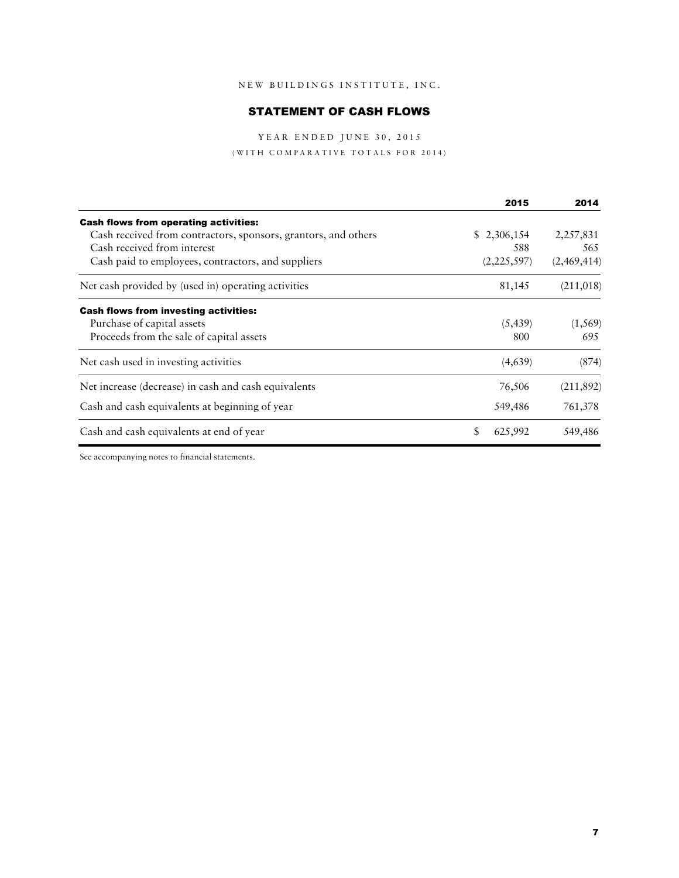# STATEMENT OF CASH FLOWS

YEAR ENDED JUNE 30, 2015

 $(\,\mathop{\mathtt{WITH}}\, \mathop{\mathtt{COMPARATIVE}}\, \mathop{\mathtt{TOTALS}}\, \mathop{\mathtt{FOR}}\, \mathop{\mathtt{2014}}\,)$ 

|                                                                | 2015          | 2014        |
|----------------------------------------------------------------|---------------|-------------|
| <b>Cash flows from operating activities:</b>                   |               |             |
| Cash received from contractors, sponsors, grantors, and others | \$2,306,154   | 2,257,831   |
| Cash received from interest                                    | 588           | 565         |
| Cash paid to employees, contractors, and suppliers             | (2,225,597)   | (2,469,414) |
| Net cash provided by (used in) operating activities            | 81,145        | (211,018)   |
| <b>Cash flows from investing activities:</b>                   |               |             |
| Purchase of capital assets                                     | (5, 439)      | (1, 569)    |
| Proceeds from the sale of capital assets                       | 800           | 695         |
| Net cash used in investing activities                          | (4,639)       | (874)       |
| Net increase (decrease) in cash and cash equivalents           | 76,506        | (211, 892)  |
| Cash and cash equivalents at beginning of year                 | 549,486       | 761,378     |
| Cash and cash equivalents at end of year                       | \$<br>625,992 | 549,486     |

See accompanying notes to financial statements.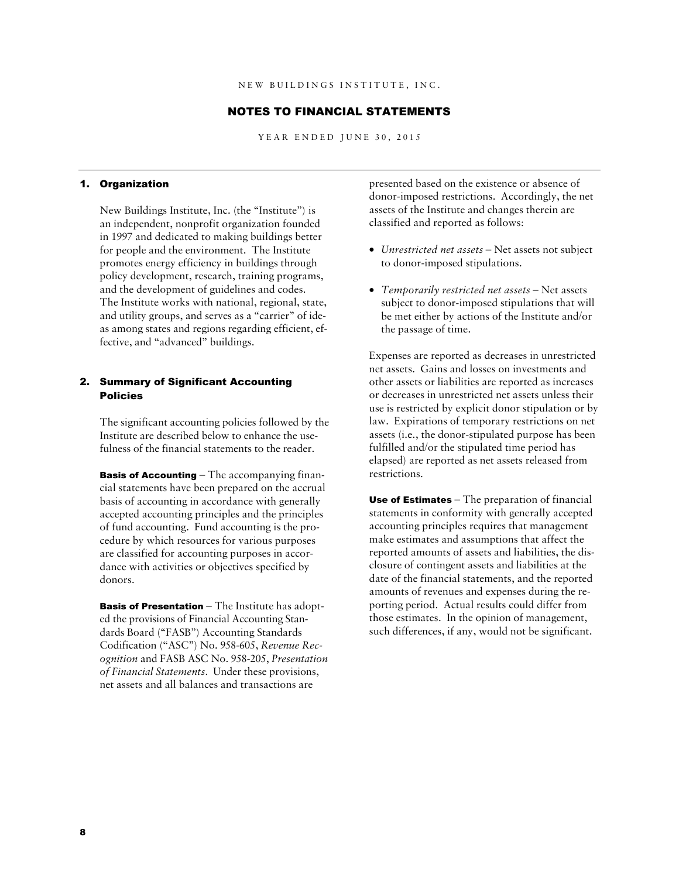#### NOTES TO FINANCIAL STATEMENTS

YEAR ENDED JUNE 30, 2015

#### 1. Organization

New Buildings Institute, Inc. (the "Institute") is an independent, nonprofit organization founded in 1997 and dedicated to making buildings better for people and the environment. The Institute promotes energy efficiency in buildings through policy development, research, training programs, and the development of guidelines and codes. The Institute works with national, regional, state, and utility groups, and serves as a "carrier" of ideas among states and regions regarding efficient, effective, and "advanced" buildings.

## 2. Summary of Significant Accounting Policies

The significant accounting policies followed by the Institute are described below to enhance the usefulness of the financial statements to the reader.

**Basis of Accounting**  $-$  The accompanying financial statements have been prepared on the accrual basis of accounting in accordance with generally accepted accounting principles and the principles of fund accounting. Fund accounting is the procedure by which resources for various purposes are classified for accounting purposes in accordance with activities or objectives specified by donors.

**Basis of Presentation**  $-$  The Institute has adopted the provisions of Financial Accounting Standards Board ("FASB") Accounting Standards Codification ("ASC") No. 958-605, *Revenue Recognition* and FASB ASC No. 958-205, *Presentation of Financial Statements*. Under these provisions, net assets and all balances and transactions are

presented based on the existence or absence of donor-imposed restrictions. Accordingly, the net assets of the Institute and changes therein are classified and reported as follows:

- *Unrestricted net assets* Net assets not subject to donor-imposed stipulations.
- *Temporarily restricted net assets* Net assets subject to donor-imposed stipulations that will be met either by actions of the Institute and/or the passage of time.

Expenses are reported as decreases in unrestricted net assets. Gains and losses on investments and other assets or liabilities are reported as increases or decreases in unrestricted net assets unless their use is restricted by explicit donor stipulation or by law. Expirations of temporary restrictions on net assets (i.e., the donor-stipulated purpose has been fulfilled and/or the stipulated time period has elapsed) are reported as net assets released from restrictions.

Use of Estimates – The preparation of financial statements in conformity with generally accepted accounting principles requires that management make estimates and assumptions that affect the reported amounts of assets and liabilities, the disclosure of contingent assets and liabilities at the date of the financial statements, and the reported amounts of revenues and expenses during the reporting period. Actual results could differ from those estimates. In the opinion of management, such differences, if any, would not be significant.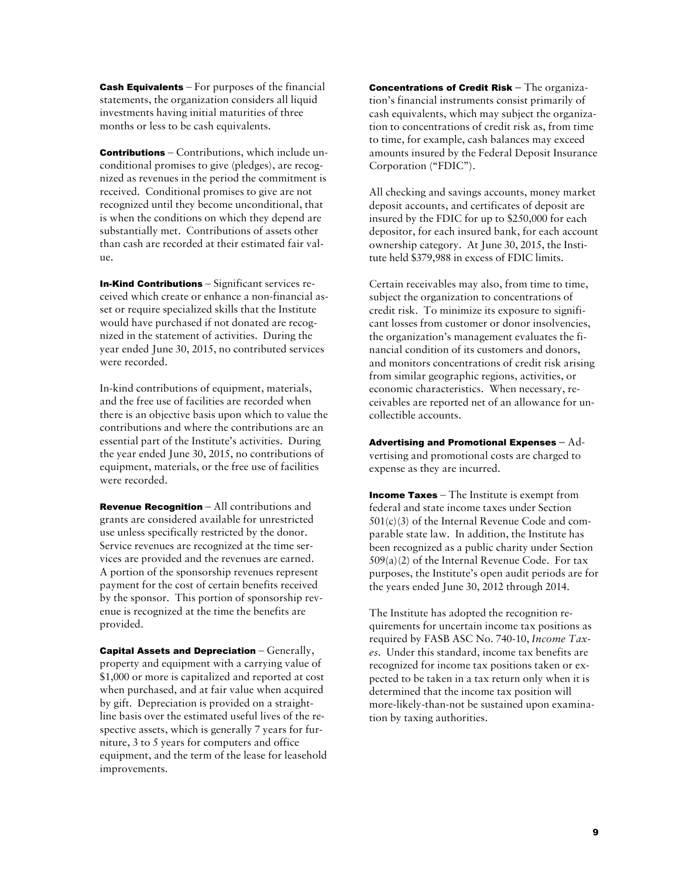Cash Equivalents – For purposes of the financial statements, the organization considers all liquid investments having initial maturities of three months or less to be cash equivalents.

Contributions – Contributions, which include unconditional promises to give (pledges), are recognized as revenues in the period the commitment is received. Conditional promises to give are not recognized until they become unconditional, that is when the conditions on which they depend are substantially met. Contributions of assets other than cash are recorded at their estimated fair value.

In-Kind Contributions – Significant services received which create or enhance a non-financial asset or require specialized skills that the Institute would have purchased if not donated are recognized in the statement of activities. During the year ended June 30, 2015, no contributed services were recorded.

In-kind contributions of equipment, materials, and the free use of facilities are recorded when there is an objective basis upon which to value the contributions and where the contributions are an essential part of the Institute's activities. During the year ended June 30, 2015, no contributions of equipment, materials, or the free use of facilities were recorded.

Revenue Recognition – All contributions and grants are considered available for unrestricted use unless specifically restricted by the donor. Service revenues are recognized at the time services are provided and the revenues are earned. A portion of the sponsorship revenues represent payment for the cost of certain benefits received by the sponsor. This portion of sponsorship revenue is recognized at the time the benefits are provided.

**Capital Assets and Depreciation**  $-$  Generally, property and equipment with a carrying value of \$1,000 or more is capitalized and reported at cost when purchased, and at fair value when acquired by gift. Depreciation is provided on a straightline basis over the estimated useful lives of the respective assets, which is generally 7 years for furniture, 3 to 5 years for computers and office equipment, and the term of the lease for leasehold improvements.

Concentrations of Credit Risk – The organization's financial instruments consist primarily of cash equivalents, which may subject the organization to concentrations of credit risk as, from time to time, for example, cash balances may exceed amounts insured by the Federal Deposit Insurance Corporation ("FDIC").

All checking and savings accounts, money market deposit accounts, and certificates of deposit are insured by the FDIC for up to \$250,000 for each depositor, for each insured bank, for each account ownership category. At June 30, 2015, the Institute held \$379,988 in excess of FDIC limits.

Certain receivables may also, from time to time, subject the organization to concentrations of credit risk. To minimize its exposure to significant losses from customer or donor insolvencies, the organization's management evaluates the financial condition of its customers and donors, and monitors concentrations of credit risk arising from similar geographic regions, activities, or economic characteristics. When necessary, receivables are reported net of an allowance for uncollectible accounts.

Advertising and Promotional Expenses − Advertising and promotional costs are charged to expense as they are incurred.

Income Taxes – The Institute is exempt from federal and state income taxes under Section 501(c)(3) of the Internal Revenue Code and comparable state law. In addition, the Institute has been recognized as a public charity under Section 509(a)(2) of the Internal Revenue Code. For tax purposes, the Institute's open audit periods are for the years ended June 30, 2012 through 2014.

The Institute has adopted the recognition requirements for uncertain income tax positions as required by FASB ASC No. 740-10, *Income Taxes*. Under this standard, income tax benefits are recognized for income tax positions taken or expected to be taken in a tax return only when it is determined that the income tax position will more-likely-than-not be sustained upon examination by taxing authorities.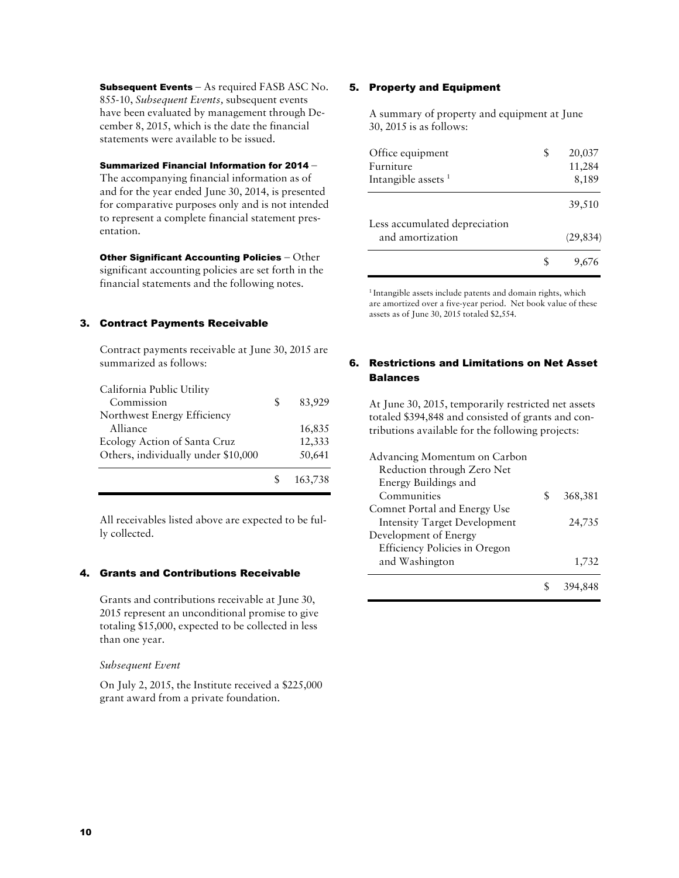Subsequent Events - As required FASB ASC No. 855-10, *Subsequent Events,* subsequent events have been evaluated by management through December 8, 2015, which is the date the financial statements were available to be issued.

## Summarized Financial Information for 2014 –

The accompanying financial information as of and for the year ended June 30, 2014, is presented for comparative purposes only and is not intended to represent a complete financial statement presentation.

**Other Significant Accounting Policies** – Other significant accounting policies are set forth in the financial statements and the following notes.

## 3. Contract Payments Receivable

Contract payments receivable at June 30, 2015 are summarized as follows:

| California Public Utility           |    |         |
|-------------------------------------|----|---------|
| Commission                          | S. | 83,929  |
| Northwest Energy Efficiency         |    |         |
| Alliance                            |    | 16,835  |
| Ecology Action of Santa Cruz        |    | 12,333  |
| Others, individually under \$10,000 |    | 50,641  |
|                                     |    | 163,738 |

All receivables listed above are expected to be fully collected.

## 4. Grants and Contributions Receivable

Grants and contributions receivable at June 30, 2015 represent an unconditional promise to give totaling \$15,000, expected to be collected in less than one year.

## *Subsequent Event*

On July 2, 2015, the Institute received a \$225,000 grant award from a private foundation.

## 5. Property and Equipment

A summary of property and equipment at June 30, 2015 is as follows:

| Office equipment<br>Furniture<br>Intangible assets $1$ | S | 20,037<br>11,284<br>8,189 |
|--------------------------------------------------------|---|---------------------------|
|                                                        |   | 39,510                    |
| Less accumulated depreciation<br>and amortization      |   | (29, 834)                 |
|                                                        |   |                           |

<sup>1</sup> Intangible assets include patents and domain rights, which are amortized over a five-year period. Net book value of these assets as of June 30, 2015 totaled \$2,554.

## 6. Restrictions and Limitations on Net Asset Balances

At June 30, 2015, temporarily restricted net assets totaled \$394,848 and consisted of grants and contributions available for the following projects:

| Advancing Momentum on Carbon        |   |         |
|-------------------------------------|---|---------|
| Reduction through Zero Net          |   |         |
| Energy Buildings and                |   |         |
| Communities                         | S | 368,381 |
| Comnet Portal and Energy Use        |   |         |
| <b>Intensity Target Development</b> |   | 24,735  |
| Development of Energy               |   |         |
| Efficiency Policies in Oregon       |   |         |
| and Washington                      |   | 1,732   |
|                                     |   |         |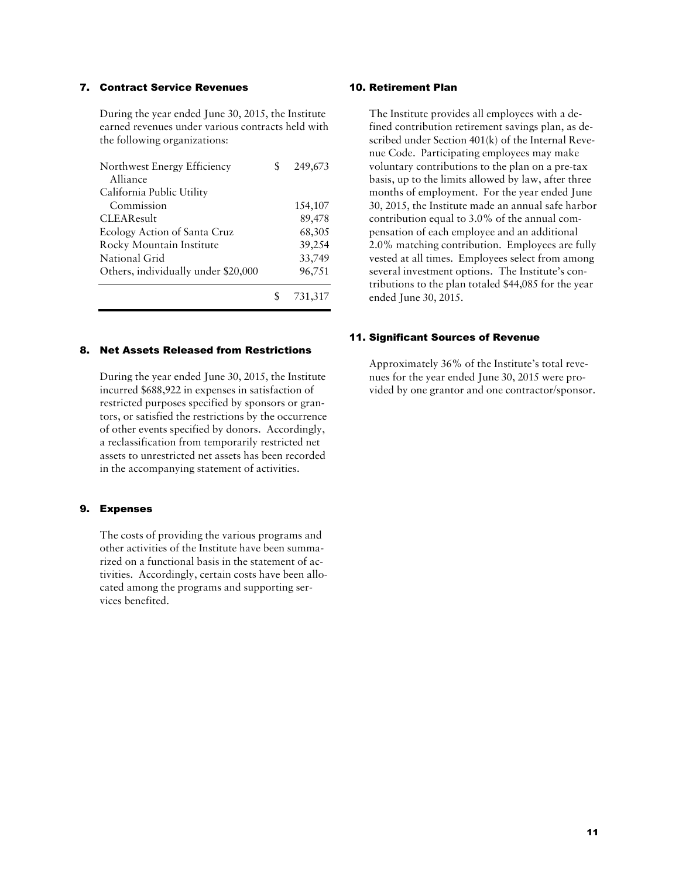#### 7. Contract Service Revenues

During the year ended June 30, 2015, the Institute earned revenues under various contracts held with the following organizations:

| Northwest Energy Efficiency         | 249,673 |
|-------------------------------------|---------|
| Alliance                            |         |
| California Public Utility           |         |
| Commission                          | 154,107 |
| <b>CLEAResult</b>                   | 89,478  |
| Ecology Action of Santa Cruz        | 68,305  |
| Rocky Mountain Institute            | 39,254  |
| National Grid                       | 33,749  |
| Others, individually under \$20,000 | 96,751  |
|                                     | 731,317 |

#### 8. Net Assets Released from Restrictions

During the year ended June 30, 2015, the Institute incurred \$688,922 in expenses in satisfaction of restricted purposes specified by sponsors or grantors, or satisfied the restrictions by the occurrence of other events specified by donors. Accordingly, a reclassification from temporarily restricted net assets to unrestricted net assets has been recorded in the accompanying statement of activities.

#### 9. Expenses

The costs of providing the various programs and other activities of the Institute have been summarized on a functional basis in the statement of activities. Accordingly, certain costs have been allocated among the programs and supporting services benefited.

#### 10. Retirement Plan

The Institute provides all employees with a defined contribution retirement savings plan, as described under Section 401(k) of the Internal Revenue Code. Participating employees may make voluntary contributions to the plan on a pre-tax basis, up to the limits allowed by law, after three months of employment. For the year ended June 30, 2015, the Institute made an annual safe harbor contribution equal to 3.0% of the annual compensation of each employee and an additional 2.0% matching contribution. Employees are fully vested at all times. Employees select from among several investment options. The Institute's contributions to the plan totaled \$44,085 for the year ended June 30, 2015.

#### 11. Significant Sources of Revenue

Approximately 36% of the Institute's total revenues for the year ended June 30, 2015 were provided by one grantor and one contractor/sponsor.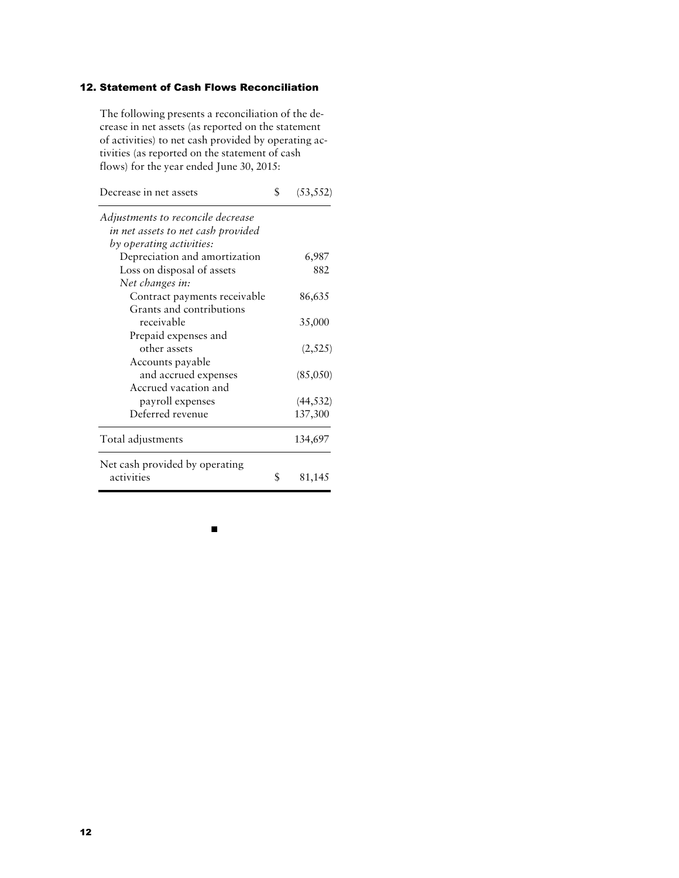# 12. Statement of Cash Flows Reconciliation

The following presents a reconciliation of the decrease in net assets (as reported on the statement of activities) to net cash provided by operating activities (as reported on the statement of cash flows) for the year ended June 30, 2015:

| Decrease in net assets             | S  | (53, 552) |
|------------------------------------|----|-----------|
| Adjustments to reconcile decrease  |    |           |
| in net assets to net cash provided |    |           |
| by operating activities:           |    |           |
| Depreciation and amortization      |    | 6,987     |
| Loss on disposal of assets         |    | 882       |
| Net changes in:                    |    |           |
| Contract payments receivable       |    | 86,635    |
| Grants and contributions           |    |           |
| receivable                         |    | 35,000    |
| Prepaid expenses and               |    |           |
| other assets                       |    | (2,525)   |
| Accounts payable                   |    |           |
| and accrued expenses               |    | (85,050)  |
| Accrued vacation and               |    |           |
| payroll expenses                   |    | (44, 532) |
| Deferred revenue                   |    | 137,300   |
| Total adjustments                  |    | 134,697   |
| Net cash provided by operating     |    |           |
| activities                         | \$ | 81,145    |

 $\blacksquare$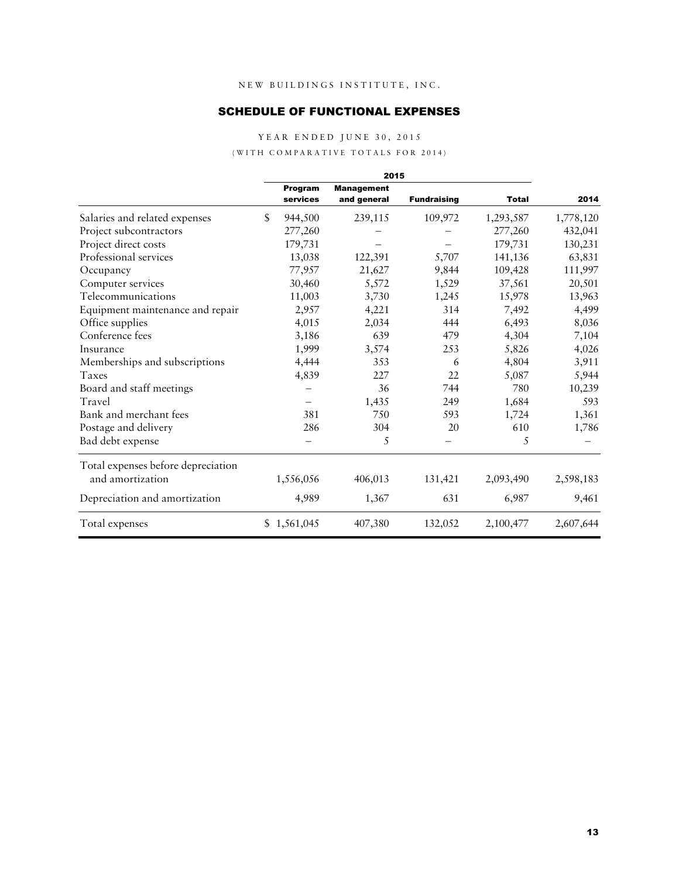# SCHEDULE OF FUNCTIONAL EXPENSES

YEAR ENDED JUNE 30, 2015

#### (WITH COMPARATIVE TOTALS FOR 2014)

|                                    | 2015 |                     |                                  |                    |              |           |
|------------------------------------|------|---------------------|----------------------------------|--------------------|--------------|-----------|
|                                    |      | Program<br>services | <b>Management</b><br>and general | <b>Fundraising</b> | <b>Total</b> | 2014      |
| Salaries and related expenses      | \$   | 944,500             | 239,115                          | 109,972            | 1,293,587    | 1,778,120 |
| Project subcontractors             |      | 277,260             |                                  |                    | 277,260      | 432,041   |
| Project direct costs               |      | 179,731             |                                  |                    | 179,731      | 130,231   |
| Professional services              |      | 13,038              | 122,391                          | 5,707              | 141,136      | 63,831    |
| Occupancy                          |      | 77,957              | 21,627                           | 9,844              | 109,428      | 111,997   |
| Computer services                  |      | 30,460              | 5,572                            | 1,529              | 37,561       | 20,501    |
| Telecommunications                 |      | 11,003              | 3,730                            | 1,245              | 15,978       | 13,963    |
| Equipment maintenance and repair   |      | 2,957               | 4,221                            | 314                | 7,492        | 4,499     |
| Office supplies                    |      | 4,015               | 2,034                            | 444                | 6,493        | 8,036     |
| Conference fees                    |      | 3,186               | 639                              | 479                | 4,304        | 7,104     |
| Insurance                          |      | 1,999               | 3,574                            | 253                | 5,826        | 4,026     |
| Memberships and subscriptions      |      | 4,444               | 353                              | 6                  | 4,804        | 3,911     |
| Taxes                              |      | 4,839               | 227                              | 22                 | 5,087        | 5,944     |
| Board and staff meetings           |      |                     | 36                               | 744                | 780          | 10,239    |
| Travel                             |      |                     | 1,435                            | 249                | 1,684        | 593       |
| Bank and merchant fees             |      | 381                 | 750                              | 593                | 1,724        | 1,361     |
| Postage and delivery               |      | 286                 | 304                              | 20                 | 610          | 1,786     |
| Bad debt expense                   |      |                     | 5                                |                    | 5            |           |
| Total expenses before depreciation |      |                     |                                  |                    |              |           |
| and amortization                   |      | 1,556,056           | 406,013                          | 131,421            | 2,093,490    | 2,598,183 |
| Depreciation and amortization      |      | 4,989               | 1,367                            | 631                | 6,987        | 9,461     |
| Total expenses                     |      | \$1,561,045         | 407,380                          | 132,052            | 2,100,477    | 2,607,644 |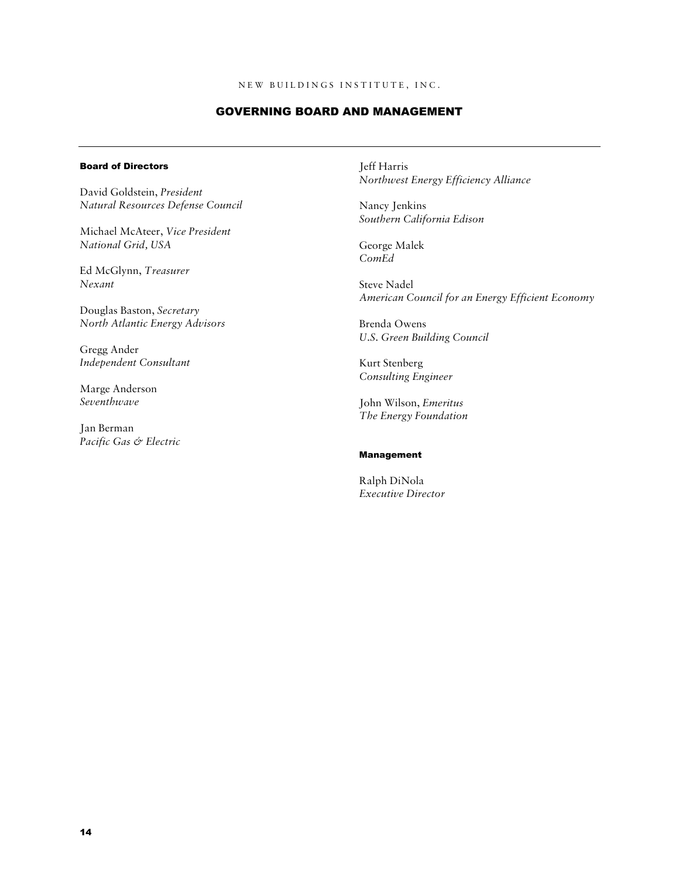#### GOVERNING BOARD AND MANAGEMENT

#### Board of Directors

David Goldstein, *President Natural Resources Defense Council* 

Michael McAteer, *Vice President National Grid, USA* 

Ed McGlynn, *Treasurer Nexant* 

Douglas Baston, *Secretary North Atlantic Energy Advisors* 

Gregg Ander *Independent Consultant* 

Marge Anderson *Seventhwave* 

Jan Berman *Pacific Gas & Electric*  Jeff Harris *Northwest Energy Efficiency Alliance* 

Nancy Jenkins *Southern California Edison* 

George Malek *ComEd* 

Steve Nadel *American Council for an Energy Efficient Economy* 

Brenda Owens *U.S. Green Building Council* 

Kurt Stenberg *Consulting Engineer* 

John Wilson, *Emeritus The Energy Foundation* 

#### Management

Ralph DiNola *Executive Director*